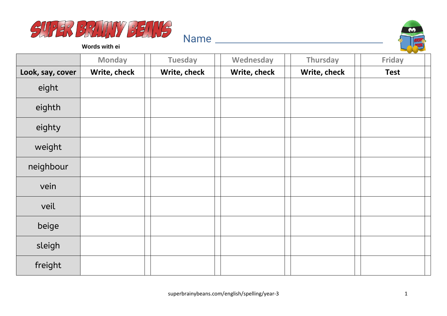



**Words with ei**

|                  | <b>Monday</b> | <b>Tuesday</b> | Wednesday    | Thursday     | <b>Friday</b> |
|------------------|---------------|----------------|--------------|--------------|---------------|
| Look, say, cover | Write, check  | Write, check   | Write, check | Write, check | <b>Test</b>   |
| eight            |               |                |              |              |               |
| eighth           |               |                |              |              |               |
| eighty           |               |                |              |              |               |
| weight           |               |                |              |              |               |
| neighbour        |               |                |              |              |               |
| vein             |               |                |              |              |               |
| veil             |               |                |              |              |               |
| beige            |               |                |              |              |               |
| sleigh           |               |                |              |              |               |
| freight          |               |                |              |              |               |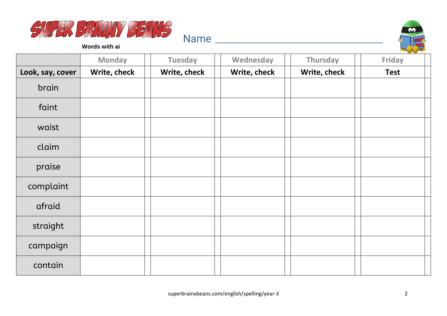



**Words with ai**

|                  | <b>Monday</b> | <b>Tuesday</b> | Wednesday    | Thursday     | $\sim$<br>Friday |
|------------------|---------------|----------------|--------------|--------------|------------------|
| Look, say, cover | Write, check  | Write, check   | Write, check | Write, check | <b>Test</b>      |
| brain            |               |                |              |              |                  |
| faint            |               |                |              |              |                  |
| waist            |               |                |              |              |                  |
| claim            |               |                |              |              |                  |
| praise           |               |                |              |              |                  |
| complaint        |               |                |              |              |                  |
| afraid           |               |                |              |              |                  |
| straight         |               |                |              |              |                  |
| campaign         |               |                |              |              |                  |
| contain          |               |                |              |              |                  |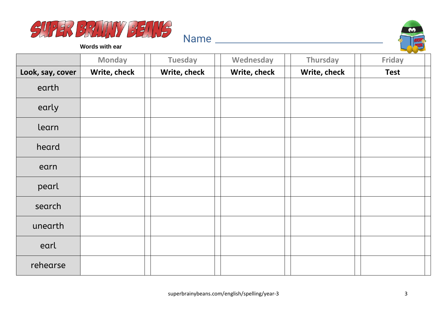



**Words with ear**

|                  | <b>Monday</b> | <b>Tuesday</b> | Wednesday    | Thursday     | <b>Friday</b> |
|------------------|---------------|----------------|--------------|--------------|---------------|
| Look, say, cover | Write, check  | Write, check   | Write, check | Write, check | <b>Test</b>   |
| earth            |               |                |              |              |               |
| early            |               |                |              |              |               |
| learn            |               |                |              |              |               |
| heard            |               |                |              |              |               |
| earn             |               |                |              |              |               |
| pearl            |               |                |              |              |               |
| search           |               |                |              |              |               |
| unearth          |               |                |              |              |               |
| earl             |               |                |              |              |               |
| rehearse         |               |                |              |              |               |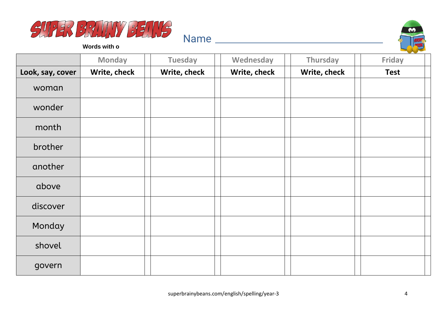



**Words with o**

|                  | <b>Monday</b> | <b>Tuesday</b> | Wednesday    | Thursday     | <b>Friday</b> |
|------------------|---------------|----------------|--------------|--------------|---------------|
| Look, say, cover | Write, check  | Write, check   | Write, check | Write, check | <b>Test</b>   |
| woman            |               |                |              |              |               |
| wonder           |               |                |              |              |               |
| month            |               |                |              |              |               |
| brother          |               |                |              |              |               |
| another          |               |                |              |              |               |
| above            |               |                |              |              |               |
| discover         |               |                |              |              |               |
| Monday           |               |                |              |              |               |
| shovel           |               |                |              |              |               |
| govern           |               |                |              |              |               |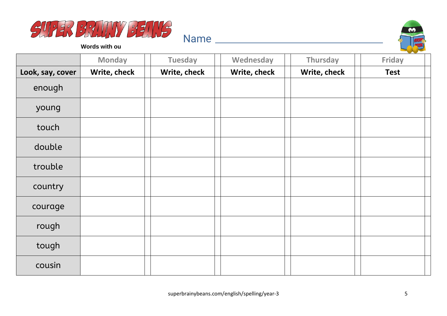



**Words with ou**

|                  | <b>Monday</b> | <b>Tuesday</b> | Wednesday    | Thursday     | <b>Friday</b> |
|------------------|---------------|----------------|--------------|--------------|---------------|
| Look, say, cover | Write, check  | Write, check   | Write, check | Write, check | <b>Test</b>   |
| enough           |               |                |              |              |               |
| young            |               |                |              |              |               |
| touch            |               |                |              |              |               |
| double           |               |                |              |              |               |
| trouble          |               |                |              |              |               |
| country          |               |                |              |              |               |
| courage          |               |                |              |              |               |
| rough            |               |                |              |              |               |
| tough            |               |                |              |              |               |
| cousin           |               |                |              |              |               |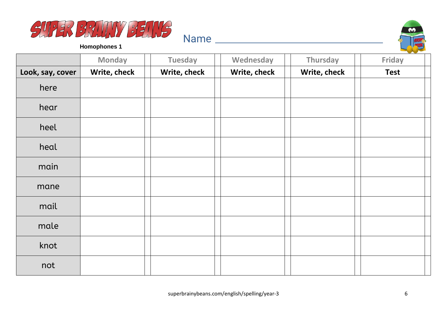



|                  | <b>Monday</b> | <b>Tuesday</b> | Wednesday    | Thursday     | Friday      |
|------------------|---------------|----------------|--------------|--------------|-------------|
| Look, say, cover | Write, check  | Write, check   | Write, check | Write, check | <b>Test</b> |
| here             |               |                |              |              |             |
| hear             |               |                |              |              |             |
| heel             |               |                |              |              |             |
| heal             |               |                |              |              |             |
| main             |               |                |              |              |             |
| mane             |               |                |              |              |             |
| mail             |               |                |              |              |             |
| male             |               |                |              |              |             |
| knot             |               |                |              |              |             |
| not              |               |                |              |              |             |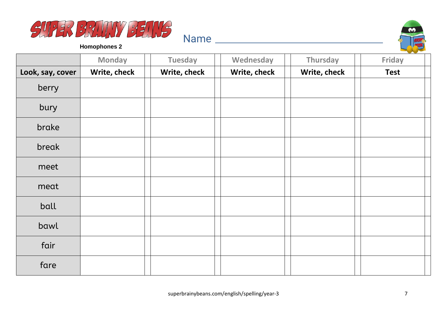



|                  | <b>Monday</b> | <b>Tuesday</b> | Wednesday    | Thursday     | $\sim$<br>Friday |
|------------------|---------------|----------------|--------------|--------------|------------------|
| Look, say, cover | Write, check  | Write, check   | Write, check | Write, check | <b>Test</b>      |
| berry            |               |                |              |              |                  |
| bury             |               |                |              |              |                  |
| brake            |               |                |              |              |                  |
| break            |               |                |              |              |                  |
| meet             |               |                |              |              |                  |
| meat             |               |                |              |              |                  |
| ball             |               |                |              |              |                  |
| bawl             |               |                |              |              |                  |
| fair             |               |                |              |              |                  |
| fare             |               |                |              |              |                  |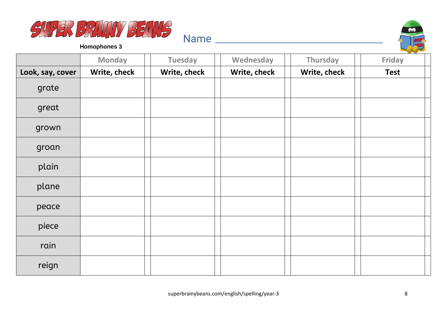



|                  | <b>Monday</b> | <b>Tuesday</b> | Wednesday    | Thursday     | <b>Friday</b> |
|------------------|---------------|----------------|--------------|--------------|---------------|
| Look, say, cover | Write, check  | Write, check   | Write, check | Write, check | <b>Test</b>   |
| grate            |               |                |              |              |               |
| great            |               |                |              |              |               |
| grown            |               |                |              |              |               |
| groan            |               |                |              |              |               |
| plain            |               |                |              |              |               |
| plane            |               |                |              |              |               |
| peace            |               |                |              |              |               |
| piece            |               |                |              |              |               |
| rain             |               |                |              |              |               |
| reign            |               |                |              |              |               |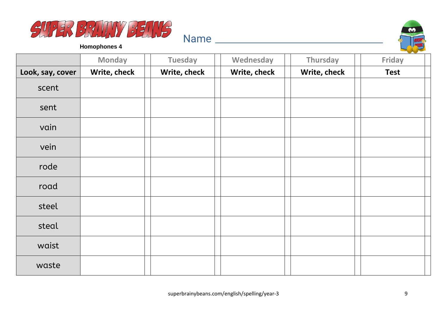



|                  | <b>Monday</b> | <b>Tuesday</b> | Wednesday    | Thursday     | Friday      |
|------------------|---------------|----------------|--------------|--------------|-------------|
| Look, say, cover | Write, check  | Write, check   | Write, check | Write, check | <b>Test</b> |
| scent            |               |                |              |              |             |
| sent             |               |                |              |              |             |
| vain             |               |                |              |              |             |
| vein             |               |                |              |              |             |
| rode             |               |                |              |              |             |
| road             |               |                |              |              |             |
| steel            |               |                |              |              |             |
| steal            |               |                |              |              |             |
| waist            |               |                |              |              |             |
| waste            |               |                |              |              |             |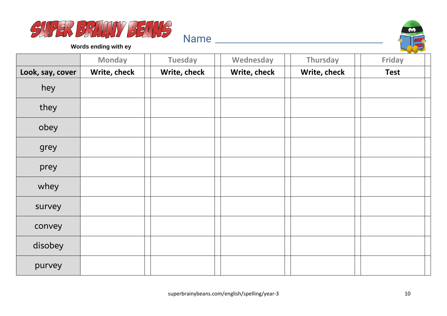



**Words ending with ey**

|                  | <b>Monday</b> | <b>Tuesday</b> | Wednesday    | Thursday     | Friday      |
|------------------|---------------|----------------|--------------|--------------|-------------|
| Look, say, cover | Write, check  | Write, check   | Write, check | Write, check | <b>Test</b> |
| hey              |               |                |              |              |             |
| they             |               |                |              |              |             |
| obey             |               |                |              |              |             |
| grey             |               |                |              |              |             |
| prey             |               |                |              |              |             |
| whey             |               |                |              |              |             |
| survey           |               |                |              |              |             |
| convey           |               |                |              |              |             |
| disobey          |               |                |              |              |             |
| purvey           |               |                |              |              |             |

Name and the second state of the second state of the second state  $\sim$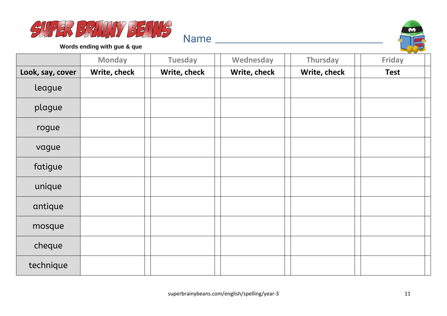



**Words ending with gue & que**

|                  | <b>Monday</b> | <b>Tuesday</b> | Wednesday    | <b>Thursday</b> | Friday      |
|------------------|---------------|----------------|--------------|-----------------|-------------|
| Look, say, cover | Write, check  | Write, check   | Write, check | Write, check    | <b>Test</b> |
| league           |               |                |              |                 |             |
| plague           |               |                |              |                 |             |
| rogue            |               |                |              |                 |             |
| vague            |               |                |              |                 |             |
| fatigue          |               |                |              |                 |             |
| unique           |               |                |              |                 |             |
| antique          |               |                |              |                 |             |
| mosque           |               |                |              |                 |             |
| cheque           |               |                |              |                 |             |
| technique        |               |                |              |                 |             |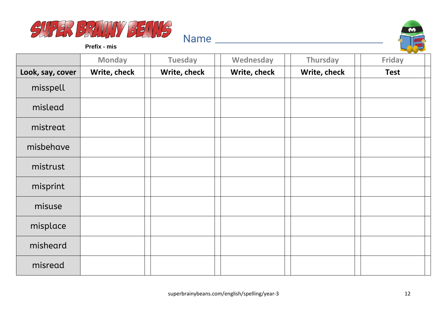



**Prefix - mis**

|                  | <b>Monday</b> | <b>Tuesday</b> | Wednesday    | Thursday     | Friday      |
|------------------|---------------|----------------|--------------|--------------|-------------|
| Look, say, cover | Write, check  | Write, check   | Write, check | Write, check | <b>Test</b> |
| misspell         |               |                |              |              |             |
| mislead          |               |                |              |              |             |
| mistreat         |               |                |              |              |             |
| misbehave        |               |                |              |              |             |
| mistrust         |               |                |              |              |             |
| misprint         |               |                |              |              |             |
| misuse           |               |                |              |              |             |
| misplace         |               |                |              |              |             |
| misheard         |               |                |              |              |             |
| misread          |               |                |              |              |             |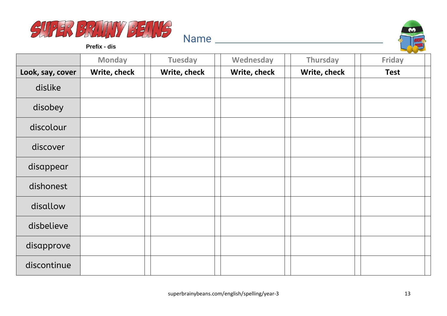



**Prefix - dis**

|                  | <b>Monday</b> | <b>Tuesday</b> | Wednesday    | Thursday     | <b>Contract Contract Contract</b><br><b>Friday</b> |
|------------------|---------------|----------------|--------------|--------------|----------------------------------------------------|
| Look, say, cover | Write, check  | Write, check   | Write, check | Write, check | <b>Test</b>                                        |
| dislike          |               |                |              |              |                                                    |
| disobey          |               |                |              |              |                                                    |
| discolour        |               |                |              |              |                                                    |
| discover         |               |                |              |              |                                                    |
| disappear        |               |                |              |              |                                                    |
| dishonest        |               |                |              |              |                                                    |
| disallow         |               |                |              |              |                                                    |
| disbelieve       |               |                |              |              |                                                    |
| disapprove       |               |                |              |              |                                                    |
| discontinue      |               |                |              |              |                                                    |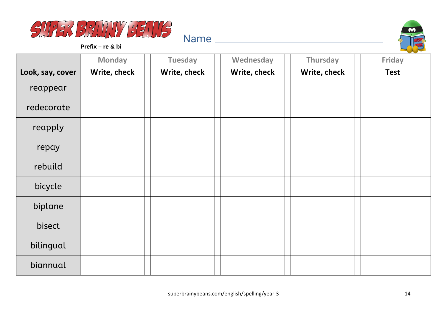



**Prefix – re & bi**

|                  | <b>Monday</b> | <b>Tuesday</b> | Wednesday    | Thursday     | and the state of the con-<br><b>Friday</b> |
|------------------|---------------|----------------|--------------|--------------|--------------------------------------------|
| Look, say, cover | Write, check  | Write, check   | Write, check | Write, check | <b>Test</b>                                |
| reappear         |               |                |              |              |                                            |
| redecorate       |               |                |              |              |                                            |
| reapply          |               |                |              |              |                                            |
| repay            |               |                |              |              |                                            |
| rebuild          |               |                |              |              |                                            |
| bicycle          |               |                |              |              |                                            |
| biplane          |               |                |              |              |                                            |
| bisect           |               |                |              |              |                                            |
| bilingual        |               |                |              |              |                                            |
| biannual         |               |                |              |              |                                            |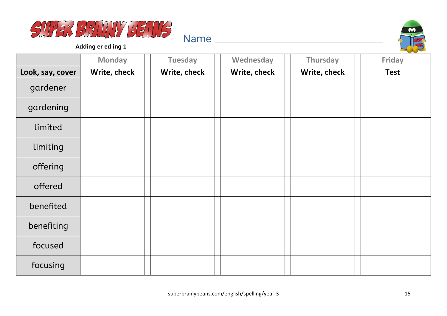



**Adding er ed ing 1**

|                  | <b>Monday</b> | <b>Tuesday</b> | Wednesday    | Thursday     | Friday      |
|------------------|---------------|----------------|--------------|--------------|-------------|
| Look, say, cover | Write, check  | Write, check   | Write, check | Write, check | <b>Test</b> |
| gardener         |               |                |              |              |             |
| gardening        |               |                |              |              |             |
| limited          |               |                |              |              |             |
| limiting         |               |                |              |              |             |
| offering         |               |                |              |              |             |
| offered          |               |                |              |              |             |
| benefited        |               |                |              |              |             |
| benefiting       |               |                |              |              |             |
| focused          |               |                |              |              |             |
| focusing         |               |                |              |              |             |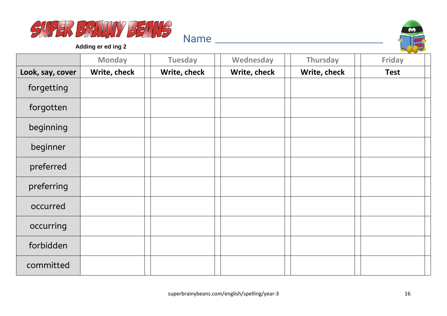



**Adding er ed ing 2**

|                  | <b>Monday</b> | <b>Tuesday</b> | Wednesday    | Thursday     | <b>Friday</b> |
|------------------|---------------|----------------|--------------|--------------|---------------|
| Look, say, cover | Write, check  | Write, check   | Write, check | Write, check | <b>Test</b>   |
| forgetting       |               |                |              |              |               |
| forgotten        |               |                |              |              |               |
| beginning        |               |                |              |              |               |
| beginner         |               |                |              |              |               |
| preferred        |               |                |              |              |               |
| preferring       |               |                |              |              |               |
| occurred         |               |                |              |              |               |
| occurring        |               |                |              |              |               |
| forbidden        |               |                |              |              |               |
| committed        |               |                |              |              |               |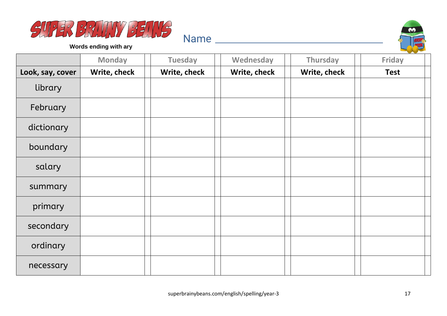



**Words ending with ary**

|                  | <b>Monday</b> | <b>Tuesday</b> | Wednesday    | Thursday     | Friday      |
|------------------|---------------|----------------|--------------|--------------|-------------|
| Look, say, cover | Write, check  | Write, check   | Write, check | Write, check | <b>Test</b> |
| library          |               |                |              |              |             |
| February         |               |                |              |              |             |
| dictionary       |               |                |              |              |             |
| boundary         |               |                |              |              |             |
| salary           |               |                |              |              |             |
| summary          |               |                |              |              |             |
| primary          |               |                |              |              |             |
| secondary        |               |                |              |              |             |
| ordinary         |               |                |              |              |             |
| necessary        |               |                |              |              |             |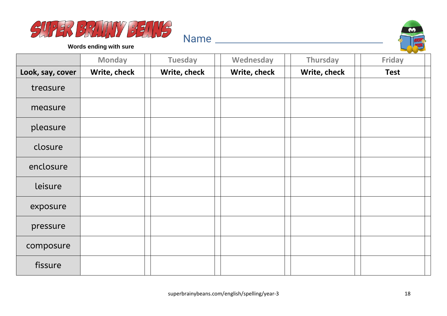



**Words ending with sure**

|                  | <b>Monday</b> | <b>Tuesday</b> | Wednesday    | Thursday     | Friday      |
|------------------|---------------|----------------|--------------|--------------|-------------|
| Look, say, cover | Write, check  | Write, check   | Write, check | Write, check | <b>Test</b> |
| treasure         |               |                |              |              |             |
| measure          |               |                |              |              |             |
| pleasure         |               |                |              |              |             |
| closure          |               |                |              |              |             |
| enclosure        |               |                |              |              |             |
| leisure          |               |                |              |              |             |
| exposure         |               |                |              |              |             |
| pressure         |               |                |              |              |             |
| composure        |               |                |              |              |             |
| fissure          |               |                |              |              |             |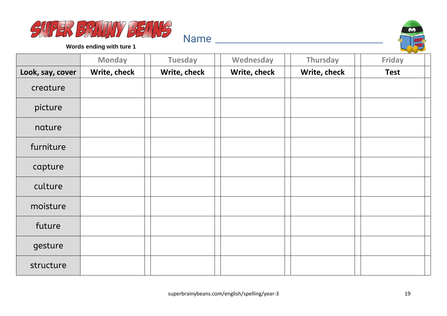



**Words ending with ture 1**

|                  | <b>Monday</b> | <b>Tuesday</b> | Wednesday    | Thursday     | Friday      |
|------------------|---------------|----------------|--------------|--------------|-------------|
| Look, say, cover | Write, check  | Write, check   | Write, check | Write, check | <b>Test</b> |
| creature         |               |                |              |              |             |
| picture          |               |                |              |              |             |
| nature           |               |                |              |              |             |
| furniture        |               |                |              |              |             |
| capture          |               |                |              |              |             |
| culture          |               |                |              |              |             |
| moisture         |               |                |              |              |             |
| future           |               |                |              |              |             |
| gesture          |               |                |              |              |             |
| structure        |               |                |              |              |             |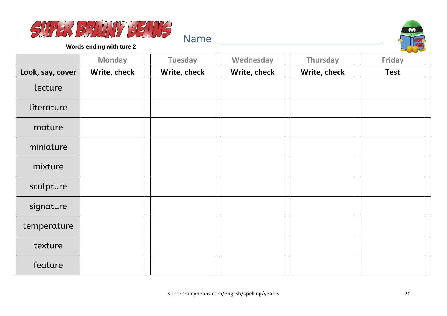



**Words ending with ture 2**

|                  | <b>Monday</b> | <b>Tuesday</b> | Wednesday    | Thursday     | Friday      |
|------------------|---------------|----------------|--------------|--------------|-------------|
| Look, say, cover | Write, check  | Write, check   | Write, check | Write, check | <b>Test</b> |
| lecture          |               |                |              |              |             |
| literature       |               |                |              |              |             |
| mature           |               |                |              |              |             |
| miniature        |               |                |              |              |             |
| mixture          |               |                |              |              |             |
| sculpture        |               |                |              |              |             |
| signature        |               |                |              |              |             |
| temperature      |               |                |              |              |             |
| texture          |               |                |              |              |             |
| feature          |               |                |              |              |             |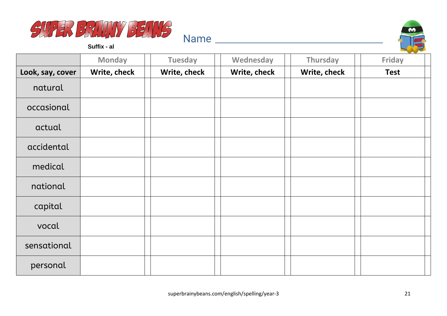



**Suffix - al**

|                  | <b>Monday</b> | <b>Tuesday</b> | Wednesday    | Thursday     | Friday      |
|------------------|---------------|----------------|--------------|--------------|-------------|
| Look, say, cover | Write, check  | Write, check   | Write, check | Write, check | <b>Test</b> |
| natural          |               |                |              |              |             |
| occasional       |               |                |              |              |             |
| actual           |               |                |              |              |             |
| accidental       |               |                |              |              |             |
| medical          |               |                |              |              |             |
| national         |               |                |              |              |             |
| capital          |               |                |              |              |             |
| vocal            |               |                |              |              |             |
| sensational      |               |                |              |              |             |
| personal         |               |                |              |              |             |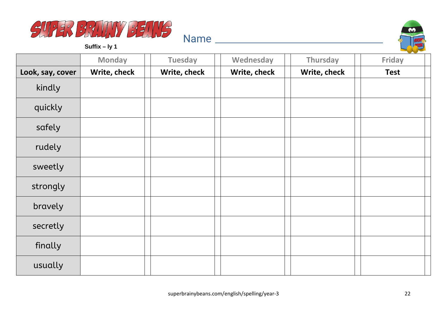



**Suffix – ly 1**

|                  | <b>Monday</b> | <b>Tuesday</b> | Wednesday    | Thursday     | Friday      |
|------------------|---------------|----------------|--------------|--------------|-------------|
| Look, say, cover | Write, check  | Write, check   | Write, check | Write, check | <b>Test</b> |
| kindly           |               |                |              |              |             |
| quickly          |               |                |              |              |             |
| safely           |               |                |              |              |             |
| rudely           |               |                |              |              |             |
| sweetly          |               |                |              |              |             |
| strongly         |               |                |              |              |             |
| bravely          |               |                |              |              |             |
| secretly         |               |                |              |              |             |
| finally          |               |                |              |              |             |
| usually          |               |                |              |              |             |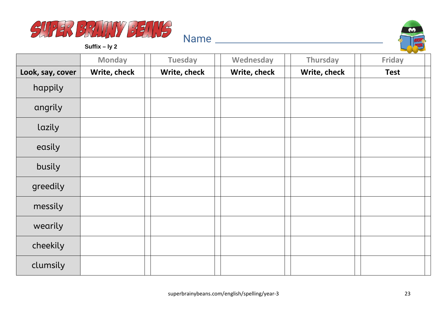

**Suffix – ly 2**



|                  |               |                |              |              | and the state of the state of the state |
|------------------|---------------|----------------|--------------|--------------|-----------------------------------------|
|                  | <b>Monday</b> | <b>Tuesday</b> | Wednesday    | Thursday     | <b>Friday</b>                           |
| Look, say, cover | Write, check  | Write, check   | Write, check | Write, check | <b>Test</b>                             |
| happily          |               |                |              |              |                                         |
| angrily          |               |                |              |              |                                         |
| lazily           |               |                |              |              |                                         |
| easily           |               |                |              |              |                                         |
| busily           |               |                |              |              |                                         |
| greedily         |               |                |              |              |                                         |
| messily          |               |                |              |              |                                         |
| wearily          |               |                |              |              |                                         |
| cheekily         |               |                |              |              |                                         |
| clumsily         |               |                |              |              |                                         |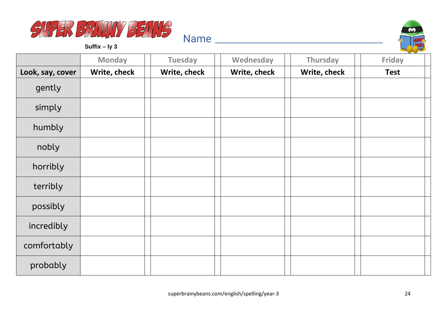

66

**Suffix – ly 3**

|                  | <b>Monday</b> | <b>Tuesday</b> | Wednesday    | Thursday     | --<br>Friday |
|------------------|---------------|----------------|--------------|--------------|--------------|
| Look, say, cover | Write, check  | Write, check   | Write, check | Write, check | <b>Test</b>  |
| gently           |               |                |              |              |              |
| simply           |               |                |              |              |              |
| humbly           |               |                |              |              |              |
| nobly            |               |                |              |              |              |
| horribly         |               |                |              |              |              |
| terribly         |               |                |              |              |              |
| possibly         |               |                |              |              |              |
| incredibly       |               |                |              |              |              |
| comfortably      |               |                |              |              |              |
| probably         |               |                |              |              |              |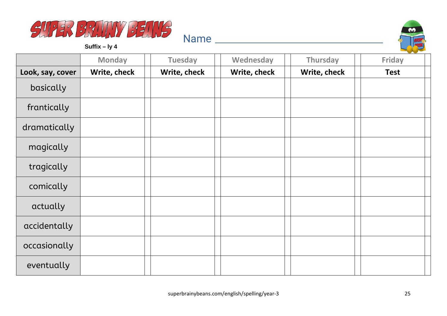



**Suffix – ly 4**

|                  | <b>Monday</b> | <b>Tuesday</b> | Wednesday    | Thursday     | <b>Friday</b> |
|------------------|---------------|----------------|--------------|--------------|---------------|
| Look, say, cover | Write, check  | Write, check   | Write, check | Write, check | <b>Test</b>   |
| basically        |               |                |              |              |               |
| frantically      |               |                |              |              |               |
| dramatically     |               |                |              |              |               |
| magically        |               |                |              |              |               |
| tragically       |               |                |              |              |               |
| comically        |               |                |              |              |               |
| actually         |               |                |              |              |               |
| accidentally     |               |                |              |              |               |
| occasionally     |               |                |              |              |               |
| eventually       |               |                |              |              |               |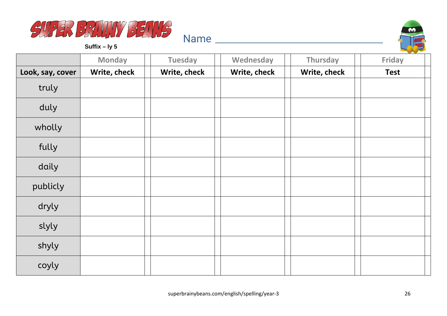

**Suffix – ly 5**



|                  | <b>Monday</b> | <b>Tuesday</b> | Wednesday    | Thursday     | <b>Contract Contract Contract Contract Contract</b><br><b>Friday</b> |
|------------------|---------------|----------------|--------------|--------------|----------------------------------------------------------------------|
| Look, say, cover | Write, check  | Write, check   | Write, check | Write, check | <b>Test</b>                                                          |
| truly            |               |                |              |              |                                                                      |
| duly             |               |                |              |              |                                                                      |
| wholly           |               |                |              |              |                                                                      |
| fully            |               |                |              |              |                                                                      |
| daily            |               |                |              |              |                                                                      |
| publicly         |               |                |              |              |                                                                      |
| dryly            |               |                |              |              |                                                                      |
| slyly            |               |                |              |              |                                                                      |
| shyly            |               |                |              |              |                                                                      |
| coyly            |               |                |              |              |                                                                      |

Name and the second state of the second state of the second state  $\sim$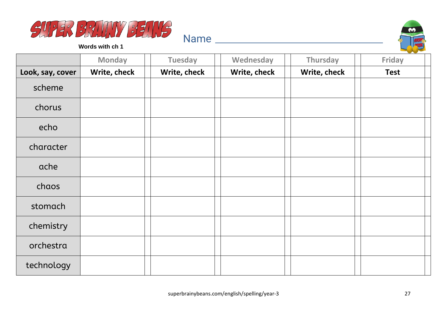



**Words with ch 1**

|                  | <b>Monday</b> | <b>Tuesday</b> | Wednesday    | Thursday     | <b>Friday</b> |
|------------------|---------------|----------------|--------------|--------------|---------------|
| Look, say, cover | Write, check  | Write, check   | Write, check | Write, check | <b>Test</b>   |
| scheme           |               |                |              |              |               |
| chorus           |               |                |              |              |               |
| echo             |               |                |              |              |               |
| character        |               |                |              |              |               |
| ache             |               |                |              |              |               |
| chaos            |               |                |              |              |               |
| stomach          |               |                |              |              |               |
| chemistry        |               |                |              |              |               |
| orchestra        |               |                |              |              |               |
| technology       |               |                |              |              |               |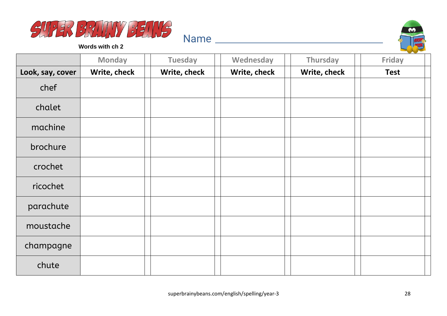



**Words with ch 2**

|                  | <b>Monday</b> | <b>Tuesday</b> | Wednesday    | Thursday     | <b>Friday</b> |
|------------------|---------------|----------------|--------------|--------------|---------------|
| Look, say, cover | Write, check  | Write, check   | Write, check | Write, check | <b>Test</b>   |
| chef             |               |                |              |              |               |
| chalet           |               |                |              |              |               |
| machine          |               |                |              |              |               |
| brochure         |               |                |              |              |               |
| crochet          |               |                |              |              |               |
| ricochet         |               |                |              |              |               |
| parachute        |               |                |              |              |               |
| moustache        |               |                |              |              |               |
| champagne        |               |                |              |              |               |
| chute            |               |                |              |              |               |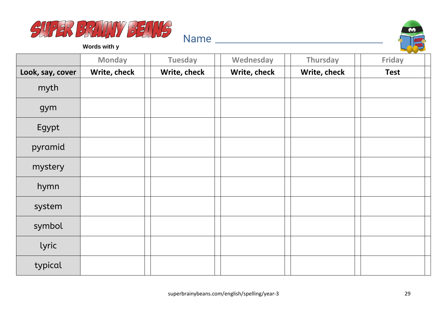



**Words with y**

|                  | <b>Monday</b> | <b>Tuesday</b> | Wednesday    | Thursday     | <b>Friday</b> |
|------------------|---------------|----------------|--------------|--------------|---------------|
| Look, say, cover | Write, check  | Write, check   | Write, check | Write, check | <b>Test</b>   |
| myth             |               |                |              |              |               |
| gym              |               |                |              |              |               |
| Egypt            |               |                |              |              |               |
| pyramid          |               |                |              |              |               |
| mystery          |               |                |              |              |               |
| hymn             |               |                |              |              |               |
| system           |               |                |              |              |               |
| symbol           |               |                |              |              |               |
| lyric            |               |                |              |              |               |
| typical          |               |                |              |              |               |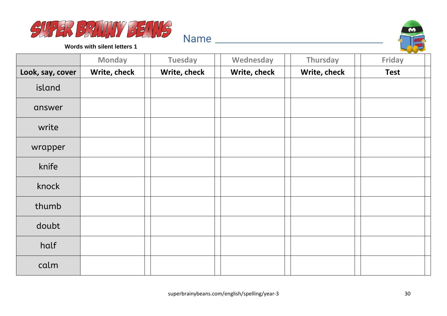



**Words with silent letters 1**

|                  | <b>Monday</b> | <b>Tuesday</b> | Wednesday    | <b>Thursday</b> | Friday      |
|------------------|---------------|----------------|--------------|-----------------|-------------|
| Look, say, cover | Write, check  | Write, check   | Write, check | Write, check    | <b>Test</b> |
| island           |               |                |              |                 |             |
| answer           |               |                |              |                 |             |
| write            |               |                |              |                 |             |
| wrapper          |               |                |              |                 |             |
| knife            |               |                |              |                 |             |
| knock            |               |                |              |                 |             |
| thumb            |               |                |              |                 |             |
| doubt            |               |                |              |                 |             |
| half             |               |                |              |                 |             |
| calm             |               |                |              |                 |             |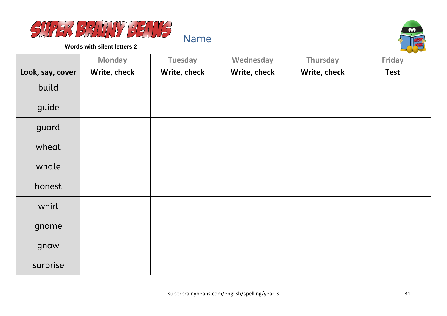



**Words with silent letters 2**

|                  | <b>Monday</b> | <b>Tuesday</b> | Wednesday    | <b>Thursday</b> | Friday      |
|------------------|---------------|----------------|--------------|-----------------|-------------|
| Look, say, cover | Write, check  | Write, check   | Write, check | Write, check    | <b>Test</b> |
| build            |               |                |              |                 |             |
| guide            |               |                |              |                 |             |
| guard            |               |                |              |                 |             |
| wheat            |               |                |              |                 |             |
| whale            |               |                |              |                 |             |
| honest           |               |                |              |                 |             |
| whirl            |               |                |              |                 |             |
| gnome            |               |                |              |                 |             |
| gnaw             |               |                |              |                 |             |
| surprise         |               |                |              |                 |             |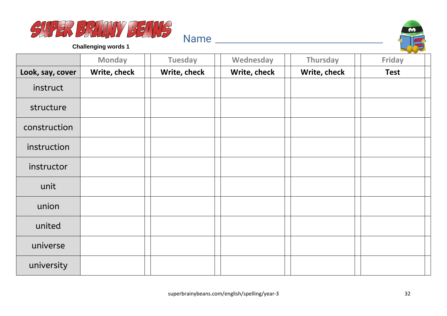



|                  | <b>Monday</b> | <b>Tuesday</b> | Wednesday    | Thursday     | Friday      |
|------------------|---------------|----------------|--------------|--------------|-------------|
| Look, say, cover | Write, check  | Write, check   | Write, check | Write, check | <b>Test</b> |
| instruct         |               |                |              |              |             |
| structure        |               |                |              |              |             |
| construction     |               |                |              |              |             |
| instruction      |               |                |              |              |             |
| instructor       |               |                |              |              |             |
| unit             |               |                |              |              |             |
| union            |               |                |              |              |             |
| united           |               |                |              |              |             |
| universe         |               |                |              |              |             |
| university       |               |                |              |              |             |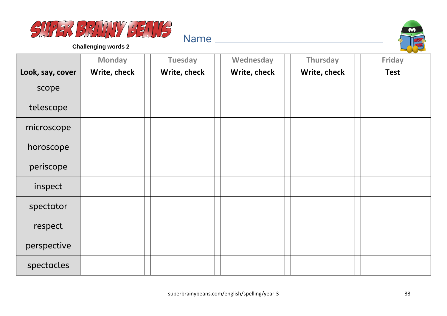



|                  | <b>Monday</b> | <b>Tuesday</b> | Wednesday    | Thursday     | Friday      |
|------------------|---------------|----------------|--------------|--------------|-------------|
| Look, say, cover | Write, check  | Write, check   | Write, check | Write, check | <b>Test</b> |
| scope            |               |                |              |              |             |
| telescope        |               |                |              |              |             |
| microscope       |               |                |              |              |             |
| horoscope        |               |                |              |              |             |
| periscope        |               |                |              |              |             |
| inspect          |               |                |              |              |             |
| spectator        |               |                |              |              |             |
| respect          |               |                |              |              |             |
| perspective      |               |                |              |              |             |
| spectacles       |               |                |              |              |             |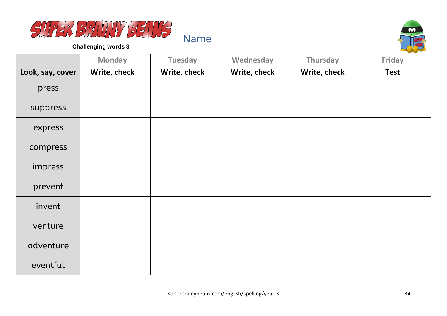



|                  | <b>Monday</b> | <b>Tuesday</b> | Wednesday    | <b>Thursday</b> | Friday      |
|------------------|---------------|----------------|--------------|-----------------|-------------|
| Look, say, cover | Write, check  | Write, check   | Write, check | Write, check    | <b>Test</b> |
| press            |               |                |              |                 |             |
| suppress         |               |                |              |                 |             |
| express          |               |                |              |                 |             |
| compress         |               |                |              |                 |             |
| impress          |               |                |              |                 |             |
| prevent          |               |                |              |                 |             |
| invent           |               |                |              |                 |             |
| venture          |               |                |              |                 |             |
| adventure        |               |                |              |                 |             |
| eventful         |               |                |              |                 |             |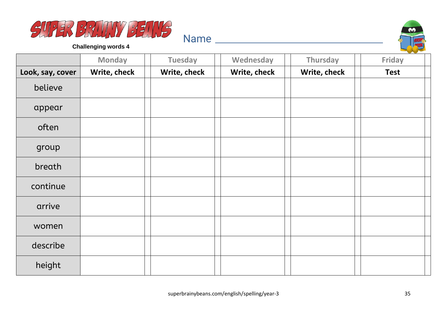



|                  | <b>Monday</b> | <b>Tuesday</b> | Wednesday    | Thursday     | Friday      |
|------------------|---------------|----------------|--------------|--------------|-------------|
| Look, say, cover | Write, check  | Write, check   | Write, check | Write, check | <b>Test</b> |
| believe          |               |                |              |              |             |
| appear           |               |                |              |              |             |
| often            |               |                |              |              |             |
| group            |               |                |              |              |             |
| breath           |               |                |              |              |             |
| continue         |               |                |              |              |             |
| arrive           |               |                |              |              |             |
| women            |               |                |              |              |             |
| describe         |               |                |              |              |             |
| height           |               |                |              |              |             |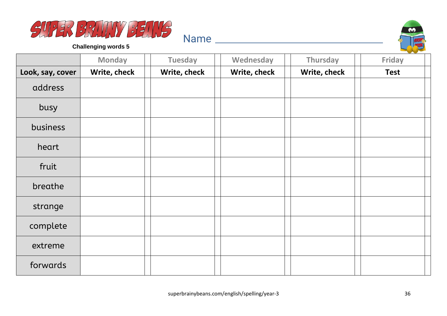



|                  | <b>Monday</b> | <b>Tuesday</b> | Wednesday    | Thursday     | Friday      |
|------------------|---------------|----------------|--------------|--------------|-------------|
| Look, say, cover | Write, check  | Write, check   | Write, check | Write, check | <b>Test</b> |
| address          |               |                |              |              |             |
| busy             |               |                |              |              |             |
| business         |               |                |              |              |             |
| heart            |               |                |              |              |             |
| fruit            |               |                |              |              |             |
| breathe          |               |                |              |              |             |
| strange          |               |                |              |              |             |
| complete         |               |                |              |              |             |
| extreme          |               |                |              |              |             |
| forwards         |               |                |              |              |             |